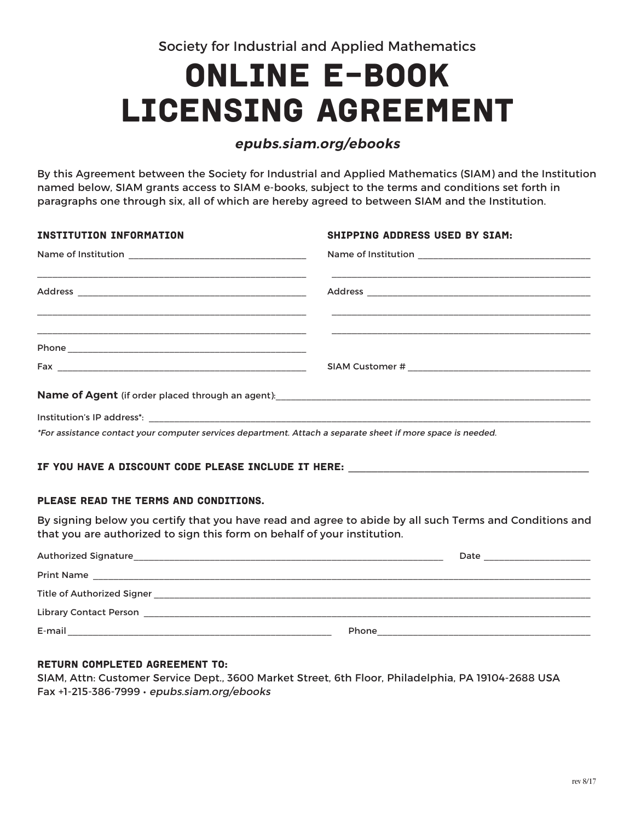Society for Industrial and Applied Mathematics

# ONLINE E-BOOK LICENSING AGREEMENT

## **epubs.siam.org/ebooks**

By this Agreement between the Society for Industrial and Applied Mathematics (SIAM) and the Institution named below, SIAM grants access to SIAM e-books, subject to the terms and conditions set forth in paragraphs one through six, all of which are hereby agreed to between SIAM and the Institution.

| <b>INSTITUTION INFORMATION</b>                                                                              | <b>SHIPPING ADDRESS USED BY SIAM:</b> |
|-------------------------------------------------------------------------------------------------------------|---------------------------------------|
|                                                                                                             |                                       |
|                                                                                                             |                                       |
|                                                                                                             |                                       |
|                                                                                                             |                                       |
|                                                                                                             |                                       |
|                                                                                                             |                                       |
|                                                                                                             |                                       |
| *For assistance contact your computer services department. Attach a separate sheet if more space is needed. |                                       |

## IF YOU HAVE A DISCOUNT CODE PLEASE INCLUDE IT HERE:

## PLEASE READ THE TERMS AND CONDITIONS.

By signing below you certify that you have read and agree to abide by all such Terms and Conditions and that you are authorized to sign this form on behalf of your institution.

| Authorized Signature              | Date  |
|-----------------------------------|-------|
| <b>Print Name</b>                 |       |
| <b>Title of Authorized Signer</b> |       |
| <b>Library Contact Person</b>     |       |
| E-mail                            | Phone |

## Return completed Agreement to:

SIAM, Attn: Customer Service Dept., 3600 Market Street, 6th Floor, Philadelphia, PA 19104-2688 USA Fax +1-215-386-7999 • epubs.siam.org/ebooks